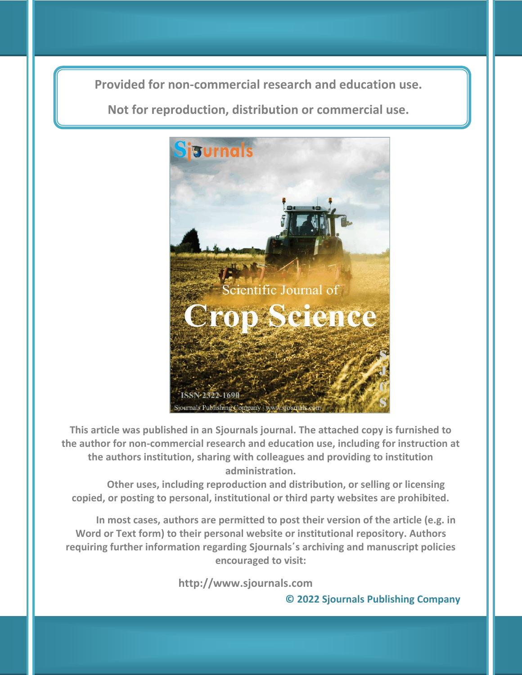**Provided for non-commercial research and education use. Provided for non-commercial research and education use.**

**Not for reproduction, distribution or commercial use. Not for reproduction, distribution or commercial use.**



**This article was published in an Sjournals journal. The attached copy is furnished to the author for non-commercial research and education use, including for instruction at the authors institution, sharing with colleagues and providing to institution administration.**

**Other uses, including reproduction and distribution, or selling or licensing copied, or posting to personal, institutional or third party websites are prohibited.**

**In most cases, authors are permitted to post their version of the article (e.g. in Word or Text form) to their personal website or institutional repository. Authors requiring further information regarding Sjournals΄s archiving and manuscript policies encouraged to visit:**

 **http://www.sjournals.com** 

**© 2022 Sjournals Publishing Company**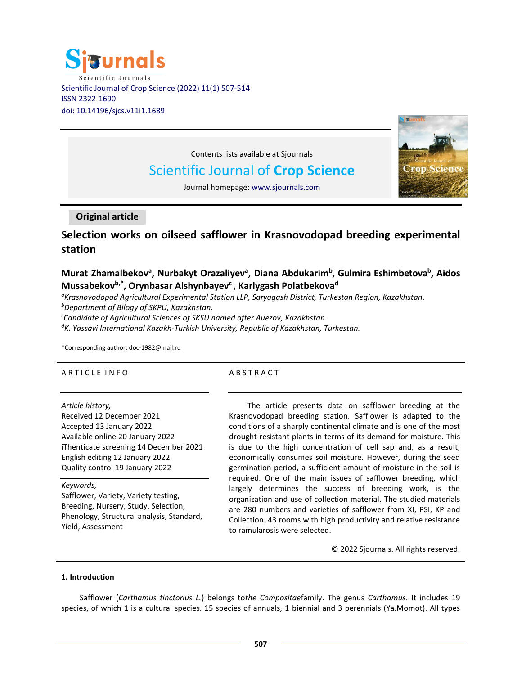



Contents lists available at Sjournals

# Scientific Journal of **Crop Science**

Journal homepage: www.sjournals.com

## **Original article**

## **Selection works on oilseed safflower in Krasnovodopad breeding experimental station**

## **Murat Zhamalbekov<sup>a</sup> , Nurbakyt Orazaliyev<sup>a</sup> , Diana Abdukarim<sup>b</sup> , Gulmira Eshimbetova<sup>b</sup> , Aidos Mussabekovb,\* , Orynbasar Alshynbayev<sup>c</sup> , Karlygash Polatbekova<sup>d</sup>**

*<sup>a</sup>Krasnovodopad Agricultural Experimental Station LLP, Saryagash District, Turkestan Region, Kazakhstan.*

*<sup>b</sup>Department of Bilogy of SKPU, Kazakhstan.*

*<sup>c</sup>Candidate of Agricultural Sciences of SKSU named after Auezov, Kazakhstan.*

*<sup>d</sup>K. Yassavi International Kazakh-Turkish University, Republic of Kazakhstan, Turkestan.*

\*Corresponding author: doc-1982@mail.ru

## A R T I C L E I N F O

## A B S T R A C T

*Article history,*

Received 12 December 2021 Accepted 13 January 2022 Available online 20 January 2022 iThenticate screening 14 December 2021 English editing 12 January 2022 Quality control 19 January 2022

*Keywords,*

Safflower, Variety, Variety testing, Breeding, Nursery, Study, Selection, Phenology, Structural analysis, Standard, Yield, Assessment

The article presents data on safflower breeding at the Krasnovodopad breeding station. Safflower is adapted to the conditions of a sharply continental climate and is one of the most drought-resistant plants in terms of its demand for moisture. This is due to the high concentration of cell sap and, as a result, economically consumes soil moisture. However, during the seed germination period, a sufficient amount of moisture in the soil is required. One of the main issues of safflower breeding, which largely determines the success of breeding work, is the organization and use of collection material. The studied materials are 280 numbers and varieties of safflower from XI, PSI, KP and Collection. 43 rooms with high productivity and relative resistance to ramularosis were selected.

© 2022 Sjournals. All rights reserved.

## **1. Introduction**

Safflower (*Carthamus tinctorius L.*) belongs to*the Compositae*family. The genus *Carthamus*. It includes 19 species, of which 1 is a cultural species. 15 species of annuals, 1 biennial and 3 perennials (Ya.Momot). All types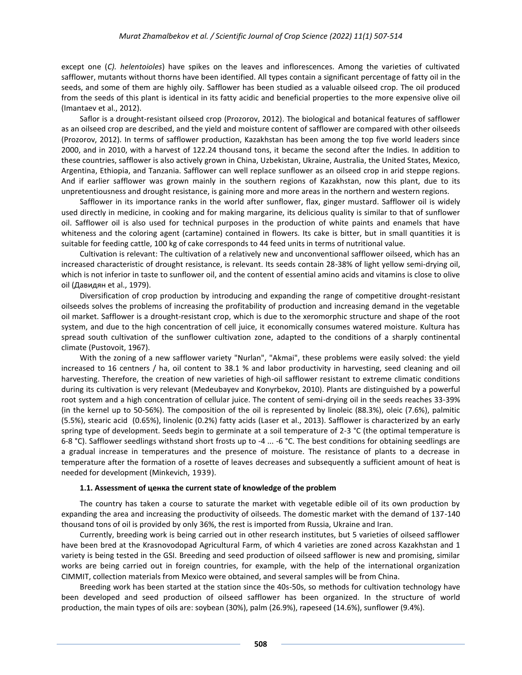except one (*C). helentoioles*) have spikes on the leaves and inflorescences. Among the varieties of cultivated safflower, mutants without thorns have been identified. All types contain a significant percentage of fatty oil in the seeds, and some of them are highly oily. Safflower has been studied as a valuable oilseed crop. The oil produced from the seeds of this plant is identical in its fatty acidic and beneficial properties to the more expensive olive oil (Imantaev et al., 2012).

Saflor is a drought-resistant oilseed crop (Prozorov, 2012). The biological and botanical features of safflower as an oilseed crop are described, and the yield and moisture content of safflower are compared with other oilseeds (Prozorov, 2012). In terms of safflower production, Kazakhstan has been among the top five world leaders since 2000, and in 2010, with a harvest of 122.24 thousand tons, it became the second after the Indies. In addition to these countries, safflower is also actively grown in China, Uzbekistan, Ukraine, Australia, the United States, Mexico, Argentina, Ethiopia, and Tanzania. Safflower can well replace sunflower as an oilseed crop in arid steppe regions. And if earlier safflower was grown mainly in the southern regions of Kazakhstan, now this plant, due to its unpretentiousness and drought resistance, is gaining more and more areas in the northern and western regions.

Safflower in its importance ranks in the world after sunflower, flax, ginger mustard. Safflower oil is widely used directly in medicine, in cooking and for making margarine, its delicious quality is similar to that of sunflower oil. Safflower oil is also used for technical purposes in the production of white paints and enamels that have whiteness and the coloring agent (cartamine) contained in flowers. Its cake is bitter, but in small quantities it is suitable for feeding cattle, 100 kg of cake corresponds to 44 feed units in terms of nutritional value.

Cultivation is relevant: The cultivation of a relatively new and unconventional safflower oilseed, which has an increased characteristic of drought resistance, is relevant. Its seeds contain 28-38% of light yellow semi-drying oil, which is not inferior in taste to sunflower oil, and the content of essential amino acids and vitamins is close to olive oil (Давидян et al., 1979).

Diversification of crop production by introducing and expanding the range of competitive drought-resistant oilseeds solves the problems of increasing the profitability of production and increasing demand in the vegetable oil market. Safflower is a drought-resistant crop, which is due to the xeromorphic structure and shape of the root system, and due to the high concentration of cell juice, it economically consumes watered moisture. Kultura has spread south cultivation of the sunflower cultivation zone, adapted to the conditions of a sharply continental climate (Pustovoit, 1967).

With the zoning of a new safflower variety "Nurlan", "Akmai", these problems were easily solved: the yield increased to 16 centners / ha, oil content to 38.1 % and labor productivity in harvesting, seed cleaning and oil harvesting. Therefore, the creation of new varieties of high-oil safflower resistant to extreme climatic conditions during its cultivation is very relevant (Medeubayev and Konyrbekov, 2010). Plants are distinguished by a powerful root system and a high concentration of cellular juice. The content of semi-drying oil in the seeds reaches 33-39% (in the kernel up to 50-56%). The composition of the oil is represented by linoleic (88.3%), oleic (7.6%), palmitic (5.5%), stearic acid (0.65%), linolenic (0.2%) fatty acids (Laser et al., 2013). Safflower is characterized by an early spring type of development. Seeds begin to germinate at a soil temperature of 2-3 °C (the optimal temperature is 6-8 °C). Safflower seedlings withstand short frosts up to -4 ... -6 °C. The best conditions for obtaining seedlings are a gradual increase in temperatures and the presence of moisture. The resistance of plants to a decrease in temperature after the formation of a rosette of leaves decreases and subsequently a sufficient amount of heat is needed for development (Minkevich, 1939).

#### **1.1. Assessment of ценка the current state of knowledge of the problem**

The country has taken a course to saturate the market with vegetable edible oil of its own production by expanding the area and increasing the productivity of oilseeds. The domestic market with the demand of 137-140 thousand tons of oil is provided by only 36%, the rest is imported from Russia, Ukraine and Iran.

Currently, breeding work is being carried out in other research institutes, but 5 varieties of oilseed safflower have been bred at the Krasnovodopad Agricultural Farm, of which 4 varieties are zoned across Kazakhstan and 1 variety is being tested in the GSI. Breeding and seed production of oilseed safflower is new and promising, similar works are being carried out in foreign countries, for example, with the help of the international organization CIMMIT, collection materials from Mexico were obtained, and several samples will be from China.

Breeding work has been started at the station since the 40s-50s, so methods for cultivation technology have been developed and seed production of oilseed safflower has been organized. In the structure of world production, the main types of oils are: soybean (30%), palm (26.9%), rapeseed (14.6%), sunflower (9.4%).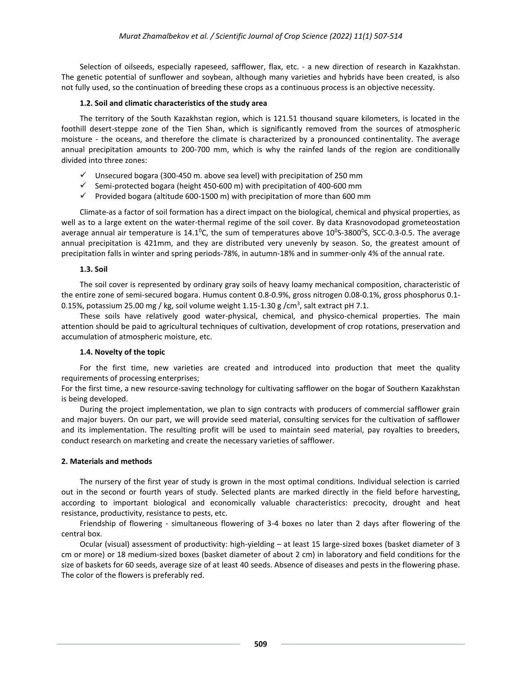Selection of oilseeds, especially rapeseed, safflower, flax, etc. - a new direction of research in Kazakhstan. The genetic potential of sunflower and soybean, although many varieties and hybrids have been created, is also not fully used, so the continuation of breeding these crops as a continuous process is an objective necessity.

## **1.2. Soil and climatic characteristics of the study area**

The territory of the South Kazakhstan region, which is 121.51 thousand square kilometers, is located in the foothill desert-steppe zone of the Tien Shan, which is significantly removed from the sources of atmospheric moisture - the oceans, and therefore the climate is characterized by a pronounced continentality. The average annual precipitation amounts to 200-700 mm, which is why the rainfed lands of the region are conditionally divided into three zones:

- $\checkmark$  Unsecured bogara (300-450 m. above sea level) with precipitation of 250 mm
- $\checkmark$  Semi-protected bogara (height 450-600 m) with precipitation of 400-600 mm
- $\checkmark$  Provided bogara (altitude 600-1500 m) with precipitation of more than 600 mm

Climate-as a factor of soil formation has a direct impact on the biological, chemical and physical properties, as well as to a large extent on the water-thermal regime of the soil cover. By data Krasnovodopad grometeostation average annual air temperature is 14.1<sup>o</sup>C, the sum of temperatures above 10<sup>o</sup>S-3800<sup>o</sup>S, SCC-0.3-0.5. The average annual precipitation is 421mm, and they are distributed very unevenly by season. So, the greatest amount of precipitation falls in winter and spring periods-78%, in autumn-18% and in summer-only 4% of the annual rate.

## **1.3. Soil**

The soil cover is represented by ordinary gray soils of heavy loamy mechanical composition, characteristic of the entire zone of semi-secured bogara. Humus content 0.8-0.9%, gross nitrogen 0.08-0.1%, gross phosphorus 0.1- 0.15%, potassium 25.00 mg / kg, soil volume weight 1.15-1.30 g /cm<sup>3</sup>, salt extract pH 7.1.

These soils have relatively good water-physical, chemical, and physico-chemical properties. The main attention should be paid to agricultural techniques of cultivation, development of crop rotations, preservation and accumulation of atmospheric moisture, etc.

## **1.4. Novelty of the topic**

For the first time, new varieties are created and introduced into production that meet the quality requirements of processing enterprises;

For the first time, a new resource-saving technology for cultivating safflower on the bogar of Southern Kazakhstan is being developed.

During the project implementation, we plan to sign contracts with producers of commercial safflower grain and major buyers. On our part, we will provide seed material, consulting services for the cultivation of safflower and its implementation. The resulting profit will be used to maintain seed material, pay royalties to breeders, conduct research on marketing and create the necessary varieties of safflower.

## **2. Materials and methods**

The nursery of the first year of study is grown in the most optimal conditions. Individual selection is carried out in the second or fourth years of study. Selected plants are marked directly in the field before harvesting, according to important biological and economically valuable characteristics: precocity, drought and heat resistance, productivity, resistance to pests, etc.

Friendship of flowering - simultaneous flowering of 3-4 boxes no later than 2 days after flowering of the central box.

Ocular (visual) assessment of productivity: high-yielding – at least 15 large-sized boxes (basket diameter of 3 cm or more) or 18 medium-sized boxes (basket diameter of about 2 cm) in laboratory and field conditions for the size of baskets for 60 seeds, average size of at least 40 seeds. Absence of diseases and pests in the flowering phase. The color of the flowers is preferably red.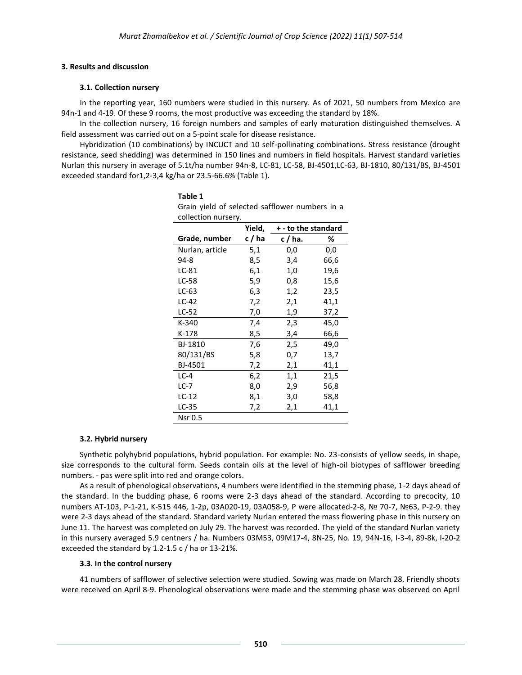#### **3. Results and discussion**

## **3.1. Collection nursery**

In the reporting year, 160 numbers were studied in this nursery. As of 2021, 50 numbers from Mexico are 94n-1 and 4-19. Of these 9 rooms, the most productive was exceeding the standard by 18%.

In the collection nursery, 16 foreign numbers and samples of early maturation distinguished themselves. A field assessment was carried out on a 5-point scale for disease resistance.

Hybridization (10 combinations) by INCUCT and 10 self-pollinating combinations. Stress resistance (drought resistance, seed shedding) was determined in 150 lines and numbers in field hospitals. Harvest standard varieties Nurlan this nursery in average of 5.1t/ha number 94n-8, LC-81, LC-58, BJ-4501,LC-63, BJ-1810, 80/131/BS, BJ-4501 exceeded standard for1,2-3,4 kg/ha or 23.5-66.6% (Table 1).

| collection nursery. |        |                     |      |
|---------------------|--------|---------------------|------|
|                     | Yield, | + - to the standard |      |
| Grade, number       | c/ha   | c / ha.             | %    |
| Nurlan, article     | 5,1    | 0,0                 | 0,0  |
| 94-8                | 8,5    | 3,4                 | 66,6 |
| LC-81               | 6,1    | 1,0                 | 19,6 |
| LC-58               | 5,9    | 0,8                 | 15,6 |
| $LC-63$             | 6,3    | 1,2                 | 23,5 |
| $LC-42$             | 7,2    | 2,1                 | 41,1 |
| LC-52               | 7,0    | 1,9                 | 37,2 |
| $K-340$             | 7,4    | 2,3                 | 45,0 |
| $K-178$             | 8,5    | 3,4                 | 66,6 |
| BJ-1810             | 7,6    | 2,5                 | 49,0 |
| 80/131/BS           | 5,8    | 0,7                 | 13,7 |
| BJ-4501             | 7,2    | 2,1                 | 41,1 |
| $LC-4$              | 6,2    | 1,1                 | 21,5 |
| $LC-7$              | 8,0    | 2,9                 | 56,8 |
| $LC-12$             | 8,1    | 3,0                 | 58,8 |
| LC-35               | 7,2    | 2,1                 | 41,1 |
| <b>Nsr 0.5</b>      |        |                     |      |

**Table 1** Grain yield of selected safflower numbers in a

## **3.2. Hybrid nursery**

Synthetic polyhybrid populations, hybrid population. For example: No. 23-consists of yellow seeds, in shape, size corresponds to the cultural form. Seeds contain oils at the level of high-oil biotypes of safflower breeding numbers. - pas were split into red and orange colors.

As a result of phenological observations, 4 numbers were identified in the stemming phase, 1-2 days ahead of the standard. In the budding phase, 6 rooms were 2-3 days ahead of the standard. According to precocity, 10 numbers AT-103, P-1-21, K-515 446, 1-2p, 03A020-19, 03A058-9, P were allocated-2-8, № 70-7, №63, P-2-9. they were 2-3 days ahead of the standard. Standard variety Nurlan entered the mass flowering phase in this nursery on June 11. The harvest was completed on July 29. The harvest was recorded. The yield of the standard Nurlan variety in this nursery averaged 5.9 centners / ha. Numbers 03M53, 09M17-4, 8N-25, No. 19, 94N-16, I-3-4, 89-8k, I-20-2 exceeded the standard by 1.2-1.5 c / ha or 13-21%.

## **3.3. In the control nursery**

41 numbers of safflower of selective selection were studied. Sowing was made on March 28. Friendly shoots were received on April 8-9. Phenological observations were made and the stemming phase was observed on April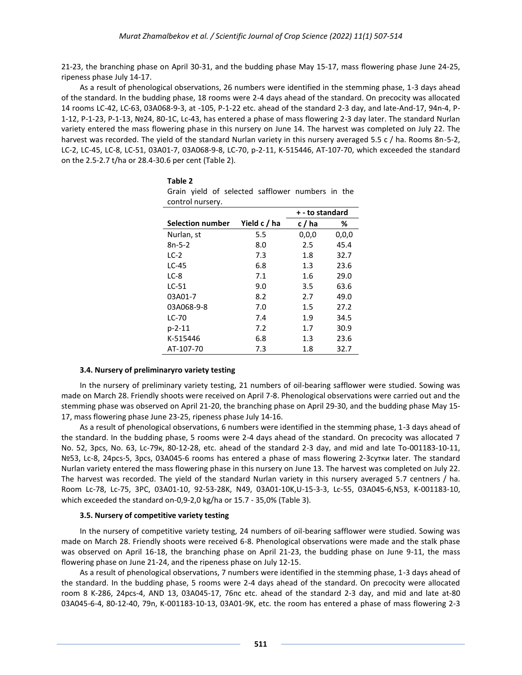21-23, the branching phase on April 30-31, and the budding phase May 15-17, mass flowering phase June 24-25, ripeness phase July 14-17.

As a result of phenological observations, 26 numbers were identified in the stemming phase, 1-3 days ahead of the standard. In the budding phase, 18 rooms were 2-4 days ahead of the standard. On precocity was allocated 14 rooms LC-42, LC-63, 03A068-9-3, at -105, P-1-22 etc. ahead of the standard 2-3 day, and late-And-17, 94n-4, P-1-12, P-1-23, P-1-13, №24, 80-1C, Lc-43, has entered a phase of mass flowering 2-3 day later. The standard Nurlan variety entered the mass flowering phase in this nursery on June 14. The harvest was completed on July 22. The harvest was recorded. The yield of the standard Nurlan variety in this nursery averaged 5.5 c / ha. Rooms 8n-5-2, LC-2, LC-45, LC-8, LC-51, 03A01-7, 03A068-9-8, LC-70, p-2-11, K-515446, AT-107-70, which exceeded the standard on the 2.5-2.7 t/ha or 28.4-30.6 per cent (Table 2).

| CONTROL HUISELY.        |              |                 |         |
|-------------------------|--------------|-----------------|---------|
|                         |              | + - to standard |         |
| <b>Selection number</b> | Yield c / ha | c/ha            | %       |
| Nurlan, st              | 5.5          | 0,0,0           | 0, 0, 0 |
| $8n-5-2$                | 8.0          | 2.5             | 45.4    |
| $LC-2$                  | 7.3          | 1.8             | 32.7    |
| $LC-45$                 | 6.8          | 1.3             | 23.6    |
| $LC-8$                  | 7.1          | 1.6             | 29.0    |
| $LC-51$                 | 9.0          | 3.5             | 63.6    |
| 03A01-7                 | 8.2          | 2.7             | 49.0    |
| 03A068-9-8              | 7.0          | 1.5             | 27.2    |
| LC-70                   | 7.4          | 1.9             | 34.5    |
| p-2-11                  | 7.2          | 1.7             | 30.9    |
| K-515446                | 6.8          | 1.3             | 23.6    |
| AT-107-70               | 7.3          | 1.8             | 32.7    |

**Table 2**  Grain yield of selected safflower numbers in the control nursery.

#### **3.4. Nursery of preliminaryго variety testing**

In the nursery of preliminary variety testing, 21 numbers of oil-bearing safflower were studied. Sowing was made on March 28. Friendly shoots were received on April 7-8. Phenological observations were carried out and the stemming phase was observed on April 21-20, the branching phase on April 29-30, and the budding phase May 15- 17, mass flowering phase June 23-25, ripeness phase July 14-16.

As a result of phenological observations, 6 numbers were identified in the stemming phase, 1-3 days ahead of the standard. In the budding phase, 5 rooms were 2-4 days ahead of the standard. On precocity was allocated 7 No. 52, 3pcs, No. 63, Lc-79к, 80-12-28, etc. ahead of the standard 2-3 day, and mid and late To-001183-10-11, №53, Lc-8, 24pcs-5, 3pcs, 03А045-6 rooms has entered a phase of mass flowering 2-3сутки later. The standard Nurlan variety entered the mass flowering phase in this nursery on June 13. The harvest was completed on July 22. The harvest was recorded. The yield of the standard Nurlan variety in this nursery averaged 5.7 centners / ha. Room Lc-78, Lc-75, 3PC, 03A01-10, 92-53-28K, N49, 03A01-10K,U-15-3-3, Lc-55, 03A045-6,N53, K-001183-10, which exceeded the standard on-0,9-2,0 kg/ha or 15.7 - 35,0% (Table 3).

#### **3.5. Nursery of competitive variety testing**

In the nursery of competitive variety testing, 24 numbers of oil-bearing safflower were studied. Sowing was made on March 28. Friendly shoots were received 6-8. Phenological observations were made and the stalk phase was observed on April 16-18, the branching phase on April 21-23, the budding phase on June 9-11, the mass flowering phase on June 21-24, and the ripeness phase on July 12-15.

As a result of phenological observations, 7 numbers were identified in the stemming phase, 1-3 days ahead of the standard. In the budding phase, 5 rooms were 2-4 days ahead of the standard. On precocity were allocated room 8 K-286, 24pcs-4, AND 13, 03А045-17, 76пс etc. ahead of the standard 2-3 day, and mid and late at-80 03А045-6-4, 80-12-40, 79n, K-001183-10-13, 03А01-9K, etc. the room has entered a phase of mass flowering 2-3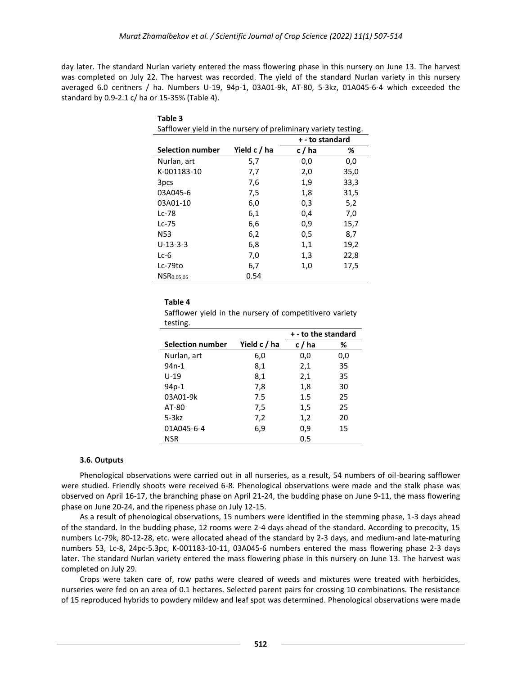day later. The standard Nurlan variety entered the mass flowering phase in this nursery on June 13. The harvest was completed on July 22. The harvest was recorded. The yield of the standard Nurlan variety in this nursery averaged 6.0 centners / ha. Numbers U-19, 94p-1, 03A01-9k, AT-80, 5-3kz, 01A045-6-4 which exceeded the standard by 0.9-2.1 c/ ha or 15-35% (Table 4).

| Safflower yield in the nursery of preliminary variety testing. |              |                 |      |
|----------------------------------------------------------------|--------------|-----------------|------|
|                                                                |              | + - to standard |      |
| <b>Selection number</b>                                        | Yield c / ha | c/ha            | %    |
| Nurlan, art                                                    | 5,7          | 0,0             | 0,0  |
| K-001183-10                                                    | 7,7          | 2,0             | 35,0 |
| 3 <sub>pcs</sub>                                               | 7,6          | 1,9             | 33,3 |
| 03A045-6                                                       | 7,5          | 1,8             | 31,5 |
| 03A01-10                                                       | 6,0          | 0,3             | 5,2  |
| $Lc-78$                                                        | 6,1          | 0,4             | 7,0  |
| Lc-75                                                          | 6,6          | 0,9             | 15,7 |
| N <sub>53</sub>                                                | 6,2          | 0,5             | 8,7  |
| $U-13-3-3$                                                     | 6,8          | 1,1             | 19,2 |
| Lc-6                                                           | 7,0          | 1,3             | 22,8 |
| $Lc-79to$                                                      | 6,7          | 1,0             | 17,5 |
| NSR0.05,05                                                     | 0.54         |                 |      |

**Table 3** 

#### **Table 4**

Safflower yield in the nursery of competitiveго variety testing.

|                         |              | + - to the standard |     |
|-------------------------|--------------|---------------------|-----|
| <b>Selection number</b> | Yield c / ha | c/ha                | ℅   |
| Nurlan, art             | 6,0          | 0,0                 | 0,0 |
| 94n-1                   | 8,1          | 2,1                 | 35  |
| $U-19$                  | 8,1          | 2,1                 | 35  |
| 94p-1                   | 7,8          | 1,8                 | 30  |
| 03A01-9k                | 7.5          | 1.5                 | 25  |
| AT-80                   | 7,5          | 1,5                 | 25  |
| $5-3kz$                 | 7,2          | 1,2                 | 20  |
| 01A045-6-4              | 6,9          | 0,9                 | 15  |
| <b>NSR</b>              |              | 0.5                 |     |

#### **3.6. Outputs**

Phenological observations were carried out in all nurseries, as a result, 54 numbers of oil-bearing safflower were studied. Friendly shoots were received 6-8. Phenological observations were made and the stalk phase was observed on April 16-17, the branching phase on April 21-24, the budding phase on June 9-11, the mass flowering phase on June 20-24, and the ripeness phase on July 12-15.

As a result of phenological observations, 15 numbers were identified in the stemming phase, 1-3 days ahead of the standard. In the budding phase, 12 rooms were 2-4 days ahead of the standard. According to precocity, 15 numbers Lc-79k, 80-12-28, etc. were allocated ahead of the standard by 2-3 days, and medium-and late-maturing numbers 53, Lc-8, 24pc-5.3pc, K-001183-10-11, 03A045-6 numbers entered the mass flowering phase 2-3 days later. The standard Nurlan variety entered the mass flowering phase in this nursery on June 13. The harvest was completed on July 29.

Crops were taken care of, row paths were cleared of weeds and mixtures were treated with herbicides, nurseries were fed on an area of 0.1 hectares. Selected parent pairs for crossing 10 combinations. The resistance of 15 reproduced hybrids to powdery mildew and leaf spot was determined. Phenological observations were made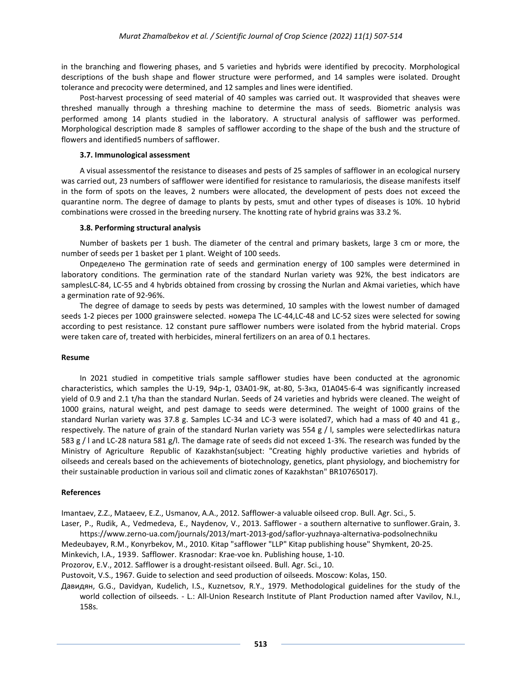in the branching and flowering phases, and 5 varieties and hybrids were identified by precocity. Morphological descriptions of the bush shape and flower structure were performed, and 14 samples were isolated. Drought tolerance and precocity were determined, and 12 samples and lines were identified.

Post-harvest processing of seed material of 40 samples was carried out. It wasprovided that sheaves were threshed manually through a threshing machine to determine the mass of seeds. Biometric analysis was performed among 14 plants studied in the laboratory. A structural analysis of safflower was performed. Morphological description made 8 samples of safflower according to the shape of the bush and the structure of flowers and identified5 numbers of safflower.

#### **3.7. Immunological assessment**

A visual assessmentof the resistance to diseases and pests of 25 samples of safflower in an ecological nursery was carried out, 23 numbers of safflower were identified for resistance to ramulariosis, the disease manifests itself in the form of spots on the leaves, 2 numbers were allocated, the development of pests does not exceed the quarantine norm. The degree of damage to plants by pests, smut and other types of diseases is 10%. 10 hybrid combinations were crossed in the breeding nursery. The knotting rate of hybrid grains was 33.2 %.

#### **3.8. Performing structural analysis**

Number of baskets per 1 bush. The diameter of the central and primary baskets, large 3 cm or more, the number of seeds per 1 basket per 1 plant. Weight of 100 seeds.

Определено The germination rate of seeds and germination energy of 100 samples were determined in laboratory conditions. The germination rate of the standard Nurlan variety was 92%, the best indicators are samplesLC-84, LC-55 and 4 hybrids obtained from crossing by crossing the Nurlan and Akmai varieties, which have a germination rate of 92-96%.

The degree of damage to seeds by pests was determined, 10 samples with the lowest number of damaged seeds 1-2 pieces per 1000 grainswere selected. номера The LC-44,LC-48 and LC-52 sizes were selected for sowing according to pest resistance. 12 constant pure safflower numbers were isolated from the hybrid material. Crops were taken care of, treated with herbicides, mineral fertilizers on an area of 0.1 hectares.

#### **Resume**

In 2021 studied in competitive trials sample safflower studies have been conducted at the agronomic characteristics, which samples the U-19, 94p-1, 03А01-9K, at-80, 5-3кз, 01А045-6-4 was significantly increased yield of 0.9 and 2.1 t/ha than the standard Nurlan. Seeds of 24 varieties and hybrids were cleaned. The weight of 1000 grains, natural weight, and pest damage to seeds were determined. The weight of 1000 grains of the standard Nurlan variety was 37.8 g. Samples LC-34 and LC-3 were isolated7, which had a mass of 40 and 41 g., respectively. The nature of grain of the standard Nurlan variety was 554 g / l, samples were selectedIirkas natura 583 g / l and LC-28 natura 581 g/l. The damage rate of seeds did not exceed 1-3%. The research was funded by the Ministry of Agriculture Republic of Kazakhstan(subject: "Creating highly productive varieties and hybrids of oilseeds and cereals based on the achievements of biotechnology, genetics, plant physiology, and biochemistry for their sustainable production in various soil and climatic zones of Kazakhstan" BR10765017).

#### **References**

Imantaev, Z.Z., Mataeev, E.Z., Usmanov, A.A., 2012. Safflower-a valuable oilseed crop. Bull. Agr. Sci., 5.

Laser, P., Rudik, A., Vedmedeva, E., Naydenov, V., 2013. Safflower - a southern alternative to sunflower.Grain, 3. <https://www.zerno-ua.com/journals/2013/mart-2013-god/saflor-yuzhnaya-alternativa-podsolnechniku>

Medeubayev, R.M., Konyrbekov, M., 2010. Kitap "safflower "LLP" Kitap publishing house" Shymkent, 20-25.

Minkevich, I.A., 1939. Safflower. Krasnodar: Krae-voe kn. Publishing house, 1-10.

Prozorov, E.V., 2012. Safflower is a drought-resistant oilseed. Bull. Agr. Sci., 10.

Pustovoit, V.S., 1967. Guide to selection and seed production of oilseeds. Moscow: Kolas, 150.

Давидян, G.G., Davidyan, Kudelich, I.S., Kuznetsov, R.Y., 1979. Methodological guidelines for the study of the world collection of oilseeds. - L.: All-Union Research Institute of Plant Production named after Vavilov, N.I., 158s.